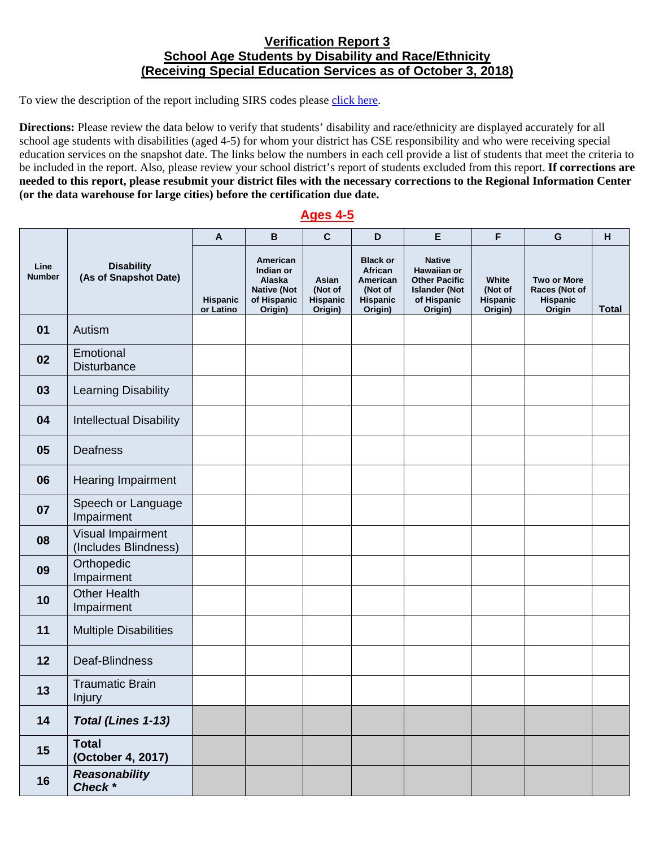## **Verification Report 3 School Age Students by Disability and Race/Ethnicity (Receiving Special Education Services as of October 3, 2018)**

To view the description of the report including SIRS codes please click here.

 **(or the data warehouse for large cities) before the certification due date. Directions:** Please review the data below to verify that students' disability and race/ethnicity are displayed accurately for all school age students with disabilities (aged 4-5) for whom your district has CSE responsibility and who were receiving special education services on the snapshot date. The links below the numbers in each cell provide a list of students that meet the criteria to be included in the report. Also, please review your school district's report of students excluded from this report. **If corrections are needed to this report, please resubmit your district files with the necessary corrections to the Regional Information Center** 

## **Ages 4-5**

|                       |                                            | $\mathsf{A}$          | B                                                                               | $\mathbf c$                             | D                                                                               | E                                                                                                      | F                                       | G                                                         | H            |
|-----------------------|--------------------------------------------|-----------------------|---------------------------------------------------------------------------------|-----------------------------------------|---------------------------------------------------------------------------------|--------------------------------------------------------------------------------------------------------|-----------------------------------------|-----------------------------------------------------------|--------------|
| Line<br><b>Number</b> | <b>Disability</b><br>(As of Snapshot Date) | Hispanic<br>or Latino | American<br>Indian or<br>Alaska<br><b>Native (Not</b><br>of Hispanic<br>Origin) | Asian<br>(Not of<br>Hispanic<br>Origin) | <b>Black or</b><br>African<br>American<br>(Not of<br><b>Hispanic</b><br>Origin) | <b>Native</b><br>Hawaiian or<br><b>Other Pacific</b><br><b>Islander (Not</b><br>of Hispanic<br>Origin) | White<br>(Not of<br>Hispanic<br>Origin) | <b>Two or More</b><br>Races (Not of<br>Hispanic<br>Origin | <b>Total</b> |
| 01                    | Autism                                     |                       |                                                                                 |                                         |                                                                                 |                                                                                                        |                                         |                                                           |              |
| 02                    | Emotional<br>Disturbance                   |                       |                                                                                 |                                         |                                                                                 |                                                                                                        |                                         |                                                           |              |
| 03                    | Learning Disability                        |                       |                                                                                 |                                         |                                                                                 |                                                                                                        |                                         |                                                           |              |
| 04                    | <b>Intellectual Disability</b>             |                       |                                                                                 |                                         |                                                                                 |                                                                                                        |                                         |                                                           |              |
| 05                    | Deafness                                   |                       |                                                                                 |                                         |                                                                                 |                                                                                                        |                                         |                                                           |              |
| 06                    | Hearing Impairment                         |                       |                                                                                 |                                         |                                                                                 |                                                                                                        |                                         |                                                           |              |
| 07                    | Speech or Language<br>Impairment           |                       |                                                                                 |                                         |                                                                                 |                                                                                                        |                                         |                                                           |              |
| 08                    | Visual Impairment<br>(Includes Blindness)  |                       |                                                                                 |                                         |                                                                                 |                                                                                                        |                                         |                                                           |              |
| 09                    | Orthopedic<br>Impairment                   |                       |                                                                                 |                                         |                                                                                 |                                                                                                        |                                         |                                                           |              |
| 10                    | <b>Other Health</b><br>Impairment          |                       |                                                                                 |                                         |                                                                                 |                                                                                                        |                                         |                                                           |              |
| 11                    | <b>Multiple Disabilities</b>               |                       |                                                                                 |                                         |                                                                                 |                                                                                                        |                                         |                                                           |              |
| 12                    | Deaf-Blindness                             |                       |                                                                                 |                                         |                                                                                 |                                                                                                        |                                         |                                                           |              |
| 13                    | <b>Traumatic Brain</b><br>Injury           |                       |                                                                                 |                                         |                                                                                 |                                                                                                        |                                         |                                                           |              |
| 14                    | Total (Lines 1-13)                         |                       |                                                                                 |                                         |                                                                                 |                                                                                                        |                                         |                                                           |              |
| 15                    | <b>Total</b><br>(October 4, 2017)          |                       |                                                                                 |                                         |                                                                                 |                                                                                                        |                                         |                                                           |              |
| 16                    | <b>Reasonability</b><br>Check *            |                       |                                                                                 |                                         |                                                                                 |                                                                                                        |                                         |                                                           |              |